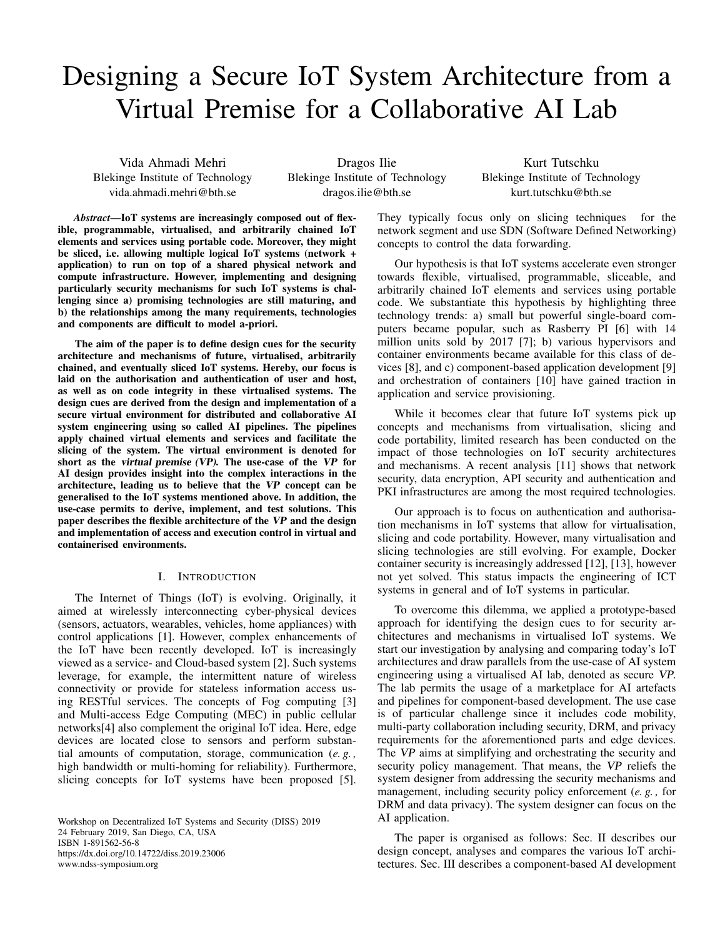# Designing a Secure IoT System Architecture from a Virtual Premise for a Collaborative AI Lab

Vida Ahmadi Mehri Blekinge Institute of Technology vida.ahmadi.mehri@bth.se

Dragos Ilie Blekinge Institute of Technology dragos.ilie@bth.se

Kurt Tutschku Blekinge Institute of Technology kurt.tutschku@bth.se

*Abstract*—IoT systems are increasingly composed out of flexible, programmable, virtualised, and arbitrarily chained IoT elements and services using portable code. Moreover, they might be sliced, i.e. allowing multiple logical IoT systems (network + application) to run on top of a shared physical network and compute infrastructure. However, implementing and designing particularly security mechanisms for such IoT systems is challenging since a) promising technologies are still maturing, and b) the relationships among the many requirements, technologies and components are difficult to model a-priori.

The aim of the paper is to define design cues for the security architecture and mechanisms of future, virtualised, arbitrarily chained, and eventually sliced IoT systems. Hereby, our focus is laid on the authorisation and authentication of user and host, as well as on code integrity in these virtualised systems. The design cues are derived from the design and implementation of a secure virtual environment for distributed and collaborative AI system engineering using so called AI pipelines. The pipelines apply chained virtual elements and services and facilitate the slicing of the system. The virtual environment is denoted for short as the virtual premise (VP). The use-case of the VP for AI design provides insight into the complex interactions in the architecture, leading us to believe that the VP concept can be generalised to the IoT systems mentioned above. In addition, the use-case permits to derive, implement, and test solutions. This paper describes the flexible architecture of the VP and the design and implementation of access and execution control in virtual and containerised environments.

#### I. INTRODUCTION

The Internet of Things (IoT) is evolving. Originally, it aimed at wirelessly interconnecting cyber-physical devices (sensors, actuators, wearables, vehicles, home appliances) with control applications [1]. However, complex enhancements of the IoT have been recently developed. IoT is increasingly viewed as a service- and Cloud-based system [2]. Such systems leverage, for example, the intermittent nature of wireless connectivity or provide for stateless information access using RESTful services. The concepts of Fog computing [3] and Multi-access Edge Computing (MEC) in public cellular networks[4] also complement the original IoT idea. Here, edge devices are located close to sensors and perform substantial amounts of computation, storage, communication (*e. g. ,* high bandwidth or multi-homing for reliability). Furthermore, slicing concepts for IoT systems have been proposed [5].

Workshop on Decentralized IoT Systems and Security (DISS) 2019 24 February 2019, San Diego, CA, USA ISBN 1-891562-56-8 https://dx.doi.org/10.14722/diss.2019.23006 www.ndss-symposium.org

They typically focus only on slicing techniques for the network segment and use SDN (Software Defined Networking) concepts to control the data forwarding.

Our hypothesis is that IoT systems accelerate even stronger towards flexible, virtualised, programmable, sliceable, and arbitrarily chained IoT elements and services using portable code. We substantiate this hypothesis by highlighting three technology trends: a) small but powerful single-board computers became popular, such as Rasberry PI [6] with 14 million units sold by 2017 [7]; b) various hypervisors and container environments became available for this class of devices [8], and c) component-based application development [9] and orchestration of containers [10] have gained traction in application and service provisioning.

While it becomes clear that future IoT systems pick up concepts and mechanisms from virtualisation, slicing and code portability, limited research has been conducted on the impact of those technologies on IoT security architectures and mechanisms. A recent analysis [11] shows that network security, data encryption, API security and authentication and PKI infrastructures are among the most required technologies.

Our approach is to focus on authentication and authorisation mechanisms in IoT systems that allow for virtualisation, slicing and code portability. However, many virtualisation and slicing technologies are still evolving. For example, Docker container security is increasingly addressed [12], [13], however not yet solved. This status impacts the engineering of ICT systems in general and of IoT systems in particular.

To overcome this dilemma, we applied a prototype-based approach for identifying the design cues to for security architectures and mechanisms in virtualised IoT systems. We start our investigation by analysing and comparing today's IoT architectures and draw parallels from the use-case of AI system engineering using a virtualised AI lab, denoted as secure VP. The lab permits the usage of a marketplace for AI artefacts and pipelines for component-based development. The use case is of particular challenge since it includes code mobility, multi-party collaboration including security, DRM, and privacy requirements for the aforementioned parts and edge devices. The VP aims at simplifying and orchestrating the security and security policy management. That means, the VP reliefs the system designer from addressing the security mechanisms and management, including security policy enforcement (*e. g. ,* for DRM and data privacy). The system designer can focus on the AI application.

The paper is organised as follows: Sec. II describes our design concept, analyses and compares the various IoT architectures. Sec. III describes a component-based AI development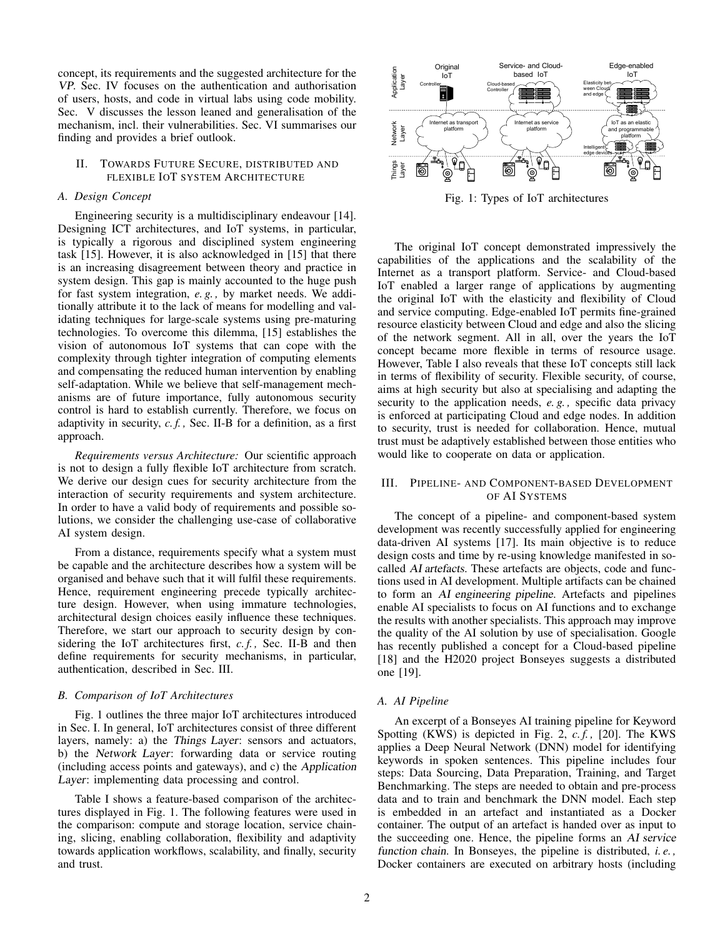concept, its requirements and the suggested architecture for the VP. Sec. IV focuses on the authentication and authorisation of users, hosts, and code in virtual labs using code mobility. Sec. V discusses the lesson leaned and generalisation of the mechanism, incl. their vulnerabilities. Sec. VI summarises our finding and provides a brief outlook.

# II. TOWARDS FUTURE SECURE, DISTRIBUTED AND FLEXIBLE IOT SYSTEM ARCHITECTURE

#### *A. Design Concept*

Engineering security is a multidisciplinary endeavour [14]. Designing ICT architectures, and IoT systems, in particular, is typically a rigorous and disciplined system engineering task [15]. However, it is also acknowledged in [15] that there is an increasing disagreement between theory and practice in system design. This gap is mainly accounted to the huge push for fast system integration, *e. g. ,* by market needs. We additionally attribute it to the lack of means for modelling and validating techniques for large-scale systems using pre-maturing technologies. To overcome this dilemma, [15] establishes the vision of autonomous IoT systems that can cope with the complexity through tighter integration of computing elements and compensating the reduced human intervention by enabling self-adaptation. While we believe that self-management mechanisms are of future importance, fully autonomous security control is hard to establish currently. Therefore, we focus on adaptivity in security, *c. f. ,* Sec. II-B for a definition, as a first approach.

*Requirements versus Architecture:* Our scientific approach is not to design a fully flexible IoT architecture from scratch. We derive our design cues for security architecture from the interaction of security requirements and system architecture. In order to have a valid body of requirements and possible solutions, we consider the challenging use-case of collaborative AI system design.

From a distance, requirements specify what a system must be capable and the architecture describes how a system will be organised and behave such that it will fulfil these requirements. Hence, requirement engineering precede typically architecture design. However, when using immature technologies, architectural design choices easily influence these techniques. Therefore, we start our approach to security design by considering the IoT architectures first, *c. f. ,* Sec. II-B and then define requirements for security mechanisms, in particular, authentication, described in Sec. III.

#### *B. Comparison of IoT Architectures*

Fig. 1 outlines the three major IoT architectures introduced in Sec. I. In general, IoT architectures consist of three different layers, namely: a) the Things Layer: sensors and actuators, b) the Network Layer: forwarding data or service routing (including access points and gateways), and c) the Application Layer: implementing data processing and control.

Table I shows a feature-based comparison of the architectures displayed in Fig. 1. The following features were used in the comparison: compute and storage location, service chaining, slicing, enabling collaboration, flexibility and adaptivity towards application workflows, scalability, and finally, security and trust.



Fig. 1: Types of IoT architectures

The original IoT concept demonstrated impressively the capabilities of the applications and the scalability of the Internet as a transport platform. Service- and Cloud-based IoT enabled a larger range of applications by augmenting the original IoT with the elasticity and flexibility of Cloud and service computing. Edge-enabled IoT permits fine-grained resource elasticity between Cloud and edge and also the slicing of the network segment. All in all, over the years the IoT concept became more flexible in terms of resource usage. However, Table I also reveals that these IoT concepts still lack in terms of flexibility of security. Flexible security, of course, aims at high security but also at specialising and adapting the security to the application needs, *e. g. ,* specific data privacy is enforced at participating Cloud and edge nodes. In addition to security, trust is needed for collaboration. Hence, mutual trust must be adaptively established between those entities who would like to cooperate on data or application.

#### III. PIPELINE- AND COMPONENT-BASED DEVELOPMENT OF AI SYSTEMS

The concept of a pipeline- and component-based system development was recently successfully applied for engineering data-driven AI systems [17]. Its main objective is to reduce design costs and time by re-using knowledge manifested in socalled AI artefacts. These artefacts are objects, code and functions used in AI development. Multiple artifacts can be chained to form an AI engineering pipeline. Artefacts and pipelines enable AI specialists to focus on AI functions and to exchange the results with another specialists. This approach may improve the quality of the AI solution by use of specialisation. Google has recently published a concept for a Cloud-based pipeline [18] and the H2020 project Bonseyes suggests a distributed one [19].

### *A. AI Pipeline*

An excerpt of a Bonseyes AI training pipeline for Keyword Spotting (KWS) is depicted in Fig. 2, *c. f. ,* [20]. The KWS applies a Deep Neural Network (DNN) model for identifying keywords in spoken sentences. This pipeline includes four steps: Data Sourcing, Data Preparation, Training, and Target Benchmarking. The steps are needed to obtain and pre-process data and to train and benchmark the DNN model. Each step is embedded in an artefact and instantiated as a Docker container. The output of an artefact is handed over as input to the succeeding one. Hence, the pipeline forms an AI service function chain. In Bonseyes, the pipeline is distributed, *i. e. ,* Docker containers are executed on arbitrary hosts (including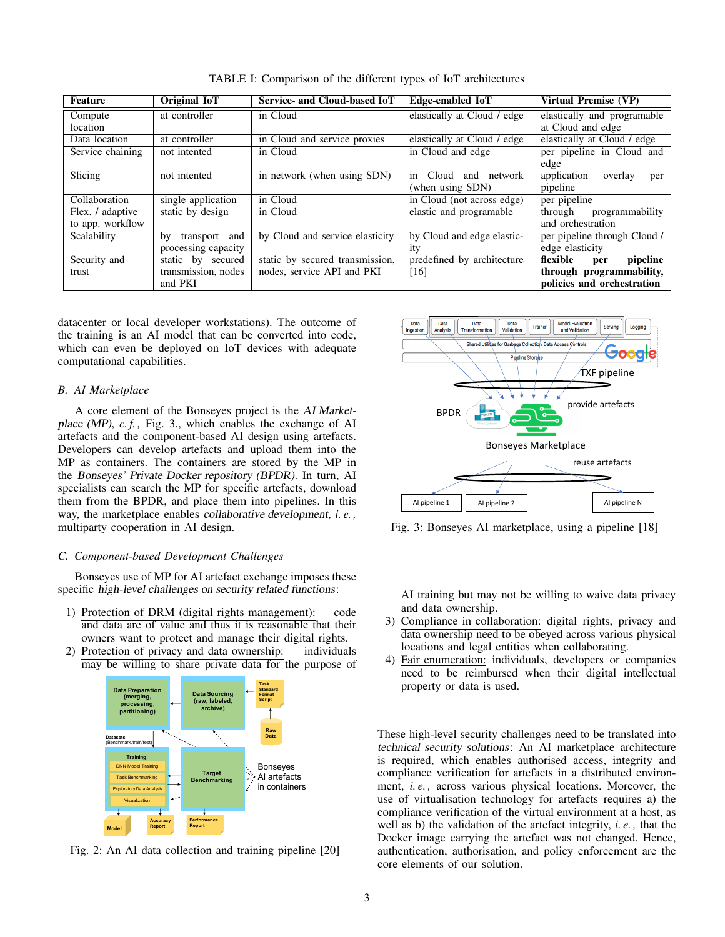| Feature          | <b>Original IoT</b>    | Service- and Cloud-based IoT    | Edge-enabled IoT              | Virtual Premise (VP)          |
|------------------|------------------------|---------------------------------|-------------------------------|-------------------------------|
| Compute          | at controller          | in Cloud                        | elastically at Cloud / edge   | elastically and programable   |
| location         |                        |                                 |                               | at Cloud and edge             |
| Data location    | at controller          | in Cloud and service proxies    | elastically at Cloud / edge   | elastically at Cloud / edge   |
| Service chaining | not intented           | in Cloud                        | in Cloud and edge             | per pipeline in Cloud and     |
|                  |                        |                                 |                               | edge                          |
| Slicing          | not intented           | in network (when using SDN)     | Cloud<br>and<br>network<br>1n | application<br>overlay<br>per |
|                  |                        |                                 | (when using SDN)              | pipeline                      |
| Collaboration    | single application     | in Cloud                        | in Cloud (not across edge)    | per pipeline                  |
| Flex. / adaptive | static by design       | in Cloud                        | elastic and programable       | through<br>programmability    |
| to app. workflow |                        |                                 |                               | and orchestration             |
| Scalability      | transport<br>by<br>and | by Cloud and service elasticity | by Cloud and edge elastic-    | per pipeline through Cloud /  |
|                  | processing capacity    |                                 | 1ty                           | edge elasticity               |
| Security and     | static by secured      | static by secured transmission, | predefined by architecture    | flexible<br>pipeline<br>per   |
| trust            | transmission, nodes    | nodes, service API and PKI      | [16]                          | through programmability,      |
|                  | and PKI                |                                 |                               | policies and orchestration    |

TABLE I: Comparison of the different types of IoT architectures

datacenter or local developer workstations). The outcome of the training is an AI model that can be converted into code, which can even be deployed on IoT devices with adequate computational capabilities.

# *B. AI Marketplace*

A core element of the Bonseyes project is the AI Marketplace (MP), *c.f.*, Fig. 3., which enables the exchange of AI artefacts and the component-based AI design using artefacts. Developers can develop artefacts and upload them into the MP as containers. The containers are stored by the MP in the Bonseyes' Private Docker repository (BPDR). In turn, AI specialists can search the MP for specific artefacts, download them from the BPDR, and place them into pipelines. In this way, the marketplace enables collaborative development, *i. e. ,* multiparty cooperation in AI design.

#### *C. Component-based Development Challenges*

Bonseyes use of MP for AI artefact exchange imposes these specific high-level challenges on security related functions:

- 1) Protection of DRM (digital rights management): code and data are of value and thus it is reasonable that their owners want to protect and manage their digital rights.
- 2) Protection of privacy and data ownership: individuals may be willing to share private data for the purpose of



Fig. 2: An AI data collection and training pipeline [20]



Fig. 3: Bonseyes AI marketplace, using a pipeline [18]

AI training but may not be willing to waive data privacy and data ownership.

- 3) Compliance in collaboration: digital rights, privacy and data ownership need to be obeyed across various physical locations and legal entities when collaborating.
- 4) Fair enumeration: individuals, developers or companies need to be reimbursed when their digital intellectual property or data is used.

These high-level security challenges need to be translated into technical security solutions: An AI marketplace architecture is required, which enables authorised access, integrity and compliance verification for artefacts in a distributed environment, *i. e. ,* across various physical locations. Moreover, the use of virtualisation technology for artefacts requires a) the compliance verification of the virtual environment at a host, as well as b) the validation of the artefact integrity, *i. e. ,* that the Docker image carrying the artefact was not changed. Hence, authentication, authorisation, and policy enforcement are the core elements of our solution.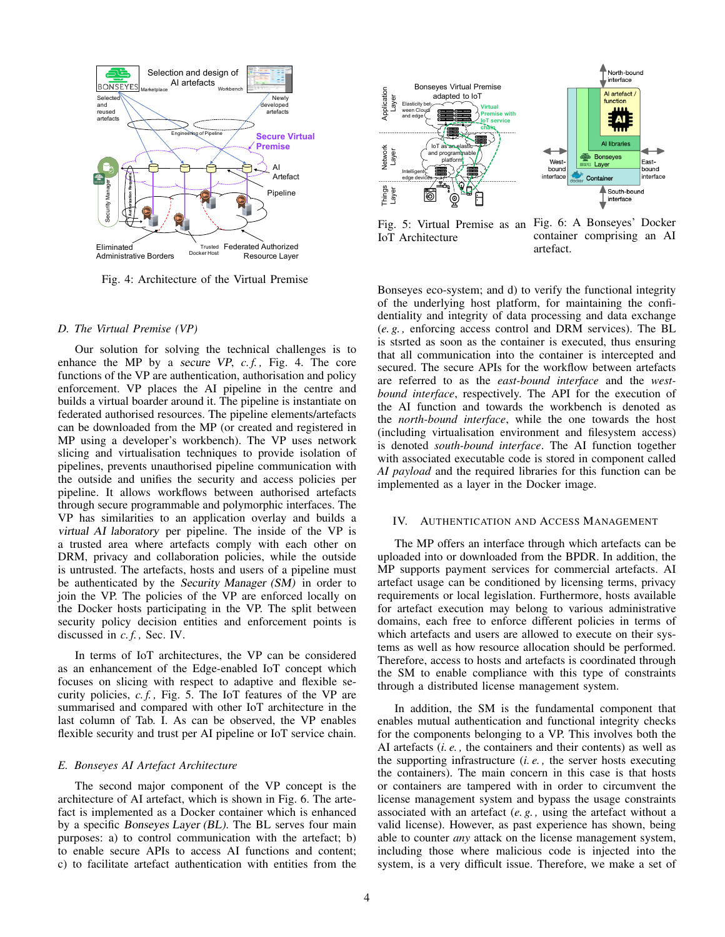

Fig. 4: Architecture of the Virtual Premise

#### *D. The Virtual Premise (VP)*

Our solution for solving the technical challenges is to enhance the MP by a secure VP, *c. f. ,* Fig. 4. The core functions of the VP are authentication, authorisation and policy enforcement. VP places the AI pipeline in the centre and builds a virtual boarder around it. The pipeline is instantiate on federated authorised resources. The pipeline elements/artefacts can be downloaded from the MP (or created and registered in MP using a developer's workbench). The VP uses network slicing and virtualisation techniques to provide isolation of pipelines, prevents unauthorised pipeline communication with the outside and unifies the security and access policies per pipeline. It allows workflows between authorised artefacts through secure programmable and polymorphic interfaces. The VP has similarities to an application overlay and builds a virtual AI laboratory per pipeline. The inside of the VP is a trusted area where artefacts comply with each other on DRM, privacy and collaboration policies, while the outside is untrusted. The artefacts, hosts and users of a pipeline must be authenticated by the Security Manager (SM) in order to join the VP. The policies of the VP are enforced locally on the Docker hosts participating in the VP. The split between security policy decision entities and enforcement points is discussed in *c. f. ,* Sec. IV.

In terms of IoT architectures, the VP can be considered as an enhancement of the Edge-enabled IoT concept which focuses on slicing with respect to adaptive and flexible security policies, *c. f. ,* Fig. 5. The IoT features of the VP are summarised and compared with other IoT architecture in the last column of Tab. I. As can be observed, the VP enables flexible security and trust per AI pipeline or IoT service chain.

#### *E. Bonseyes AI Artefact Architecture*

The second major component of the VP concept is the architecture of AI artefact, which is shown in Fig. 6. The artefact is implemented as a Docker container which is enhanced by a specific Bonseyes Layer (BL). The BL serves four main purposes: a) to control communication with the artefact; b) to enable secure APIs to access AI functions and content; c) to facilitate artefact authentication with entities from the



Fig. 5: Virtual Premise as an Fig. 6: A Bonseyes' Docker IoT Architecture container comprising an AI artefact.

Bonseyes eco-system; and d) to verify the functional integrity of the underlying host platform, for maintaining the confidentiality and integrity of data processing and data exchange (*e. g. ,* enforcing access control and DRM services). The BL is stsrted as soon as the container is executed, thus ensuring that all communication into the container is intercepted and secured. The secure APIs for the workflow between artefacts are referred to as the *east-bound interface* and the *westbound interface*, respectively. The API for the execution of the AI function and towards the workbench is denoted as the *north-bound interface*, while the one towards the host (including virtualisation environment and filesystem access) is denoted *south-bound interface*. The AI function together with associated executable code is stored in component called *AI payload* and the required libraries for this function can be implemented as a layer in the Docker image.

### IV. AUTHENTICATION AND ACCESS MANAGEMENT

The MP offers an interface through which artefacts can be uploaded into or downloaded from the BPDR. In addition, the MP supports payment services for commercial artefacts. AI artefact usage can be conditioned by licensing terms, privacy requirements or local legislation. Furthermore, hosts available for artefact execution may belong to various administrative domains, each free to enforce different policies in terms of which artefacts and users are allowed to execute on their systems as well as how resource allocation should be performed. Therefore, access to hosts and artefacts is coordinated through the SM to enable compliance with this type of constraints through a distributed license management system.

In addition, the SM is the fundamental component that enables mutual authentication and functional integrity checks for the components belonging to a VP. This involves both the AI artefacts (*i. e. ,* the containers and their contents) as well as the supporting infrastructure (*i. e. ,* the server hosts executing the containers). The main concern in this case is that hosts or containers are tampered with in order to circumvent the license management system and bypass the usage constraints associated with an artefact (*e. g. ,* using the artefact without a valid license). However, as past experience has shown, being able to counter *any* attack on the license management system, including those where malicious code is injected into the system, is a very difficult issue. Therefore, we make a set of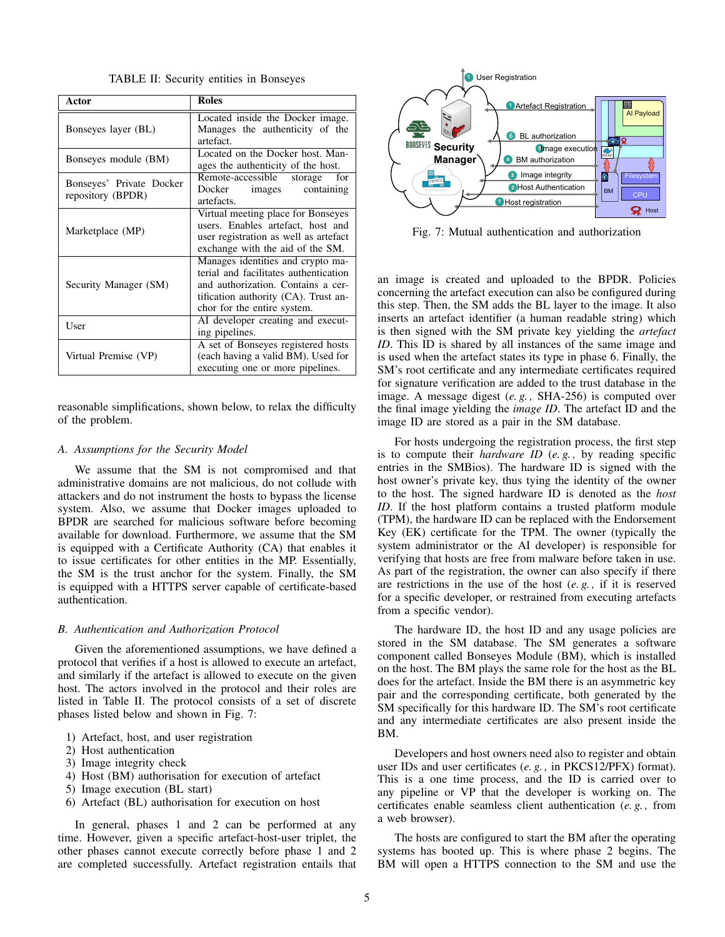TABLE II: Security entities in Bonseyes

| Actor                                         | <b>Roles</b>                                                                                                                                                                            |  |  |
|-----------------------------------------------|-----------------------------------------------------------------------------------------------------------------------------------------------------------------------------------------|--|--|
| Bonseyes layer (BL)                           | Located inside the Docker image.<br>Manages the authenticity of the<br>artefact.                                                                                                        |  |  |
| Bonseyes module (BM)                          | Located on the Docker host. Man-<br>ages the authenticity of the host.                                                                                                                  |  |  |
| Bonseyes' Private Docker<br>repository (BPDR) | Remote-accessible storage<br>for<br>Docker images containing<br>artefacts.                                                                                                              |  |  |
| Marketplace (MP)                              | Virtual meeting place for Bonseyes<br>users. Enables artefact, host and<br>user registration as well as artefact<br>exchange with the aid of the SM.                                    |  |  |
| Security Manager (SM)                         | Manages identities and crypto ma-<br>terial and facilitates authentication<br>and authorization. Contains a cer-<br>tification authority (CA). Trust an-<br>chor for the entire system. |  |  |
| User                                          | AI developer creating and execut-<br>ing pipelines.                                                                                                                                     |  |  |
| Virtual Premise (VP)                          | A set of Bonseyes registered hosts<br>(each having a valid BM). Used for<br>executing one or more pipelines.                                                                            |  |  |

reasonable simplifications, shown below, to relax the difficulty of the problem.

#### *A. Assumptions for the Security Model*

We assume that the SM is not compromised and that administrative domains are not malicious, do not collude with attackers and do not instrument the hosts to bypass the license system. Also, we assume that Docker images uploaded to BPDR are searched for malicious software before becoming available for download. Furthermore, we assume that the SM is equipped with a Certificate Authority (CA) that enables it to issue certificates for other entities in the MP. Essentially, the SM is the trust anchor for the system. Finally, the SM is equipped with a HTTPS server capable of certificate-based authentication.

#### *B. Authentication and Authorization Protocol*

Given the aforementioned assumptions, we have defined a protocol that verifies if a host is allowed to execute an artefact, and similarly if the artefact is allowed to execute on the given host. The actors involved in the protocol and their roles are listed in Table II. The protocol consists of a set of discrete phases listed below and shown in Fig. 7:

- 1) Artefact, host, and user registration
- 2) Host authentication
- 3) Image integrity check
- 4) Host (BM) authorisation for execution of artefact
- 5) Image execution (BL start)
- 6) Artefact (BL) authorisation for execution on host

In general, phases 1 and 2 can be performed at any time. However, given a specific artefact-host-user triplet, the other phases cannot execute correctly before phase 1 and 2 are completed successfully. Artefact registration entails that



Fig. 7: Mutual authentication and authorization

an image is created and uploaded to the BPDR. Policies concerning the artefact execution can also be configured during this step. Then, the SM adds the BL layer to the image. It also inserts an artefact identifier (a human readable string) which is then signed with the SM private key yielding the *artefact ID*. This ID is shared by all instances of the same image and is used when the artefact states its type in phase 6. Finally, the SM's root certificate and any intermediate certificates required for signature verification are added to the trust database in the image. A message digest (*e. g. ,* SHA-256) is computed over the final image yielding the *image ID*. The artefact ID and the image ID are stored as a pair in the SM database.

For hosts undergoing the registration process, the first step is to compute their *hardware ID* (*e. g. ,* by reading specific entries in the SMBios). The hardware ID is signed with the host owner's private key, thus tying the identity of the owner to the host. The signed hardware ID is denoted as the *host ID*. If the host platform contains a trusted platform module (TPM), the hardware ID can be replaced with the Endorsement Key (EK) certificate for the TPM. The owner (typically the system administrator or the AI developer) is responsible for verifying that hosts are free from malware before taken in use. As part of the registration, the owner can also specify if there are restrictions in the use of the host (*e. g. ,* if it is reserved for a specific developer, or restrained from executing artefacts from a specific vendor).

The hardware ID, the host ID and any usage policies are stored in the SM database. The SM generates a software component called Bonseyes Module (BM), which is installed on the host. The BM plays the same role for the host as the BL does for the artefact. Inside the BM there is an asymmetric key pair and the corresponding certificate, both generated by the SM specifically for this hardware ID. The SM's root certificate and any intermediate certificates are also present inside the BM.

Developers and host owners need also to register and obtain user IDs and user certificates (*e. g. ,* in PKCS12/PFX) format). This is a one time process, and the ID is carried over to any pipeline or VP that the developer is working on. The certificates enable seamless client authentication (*e. g. ,* from a web browser).

The hosts are configured to start the BM after the operating systems has booted up. This is where phase 2 begins. The BM will open a HTTPS connection to the SM and use the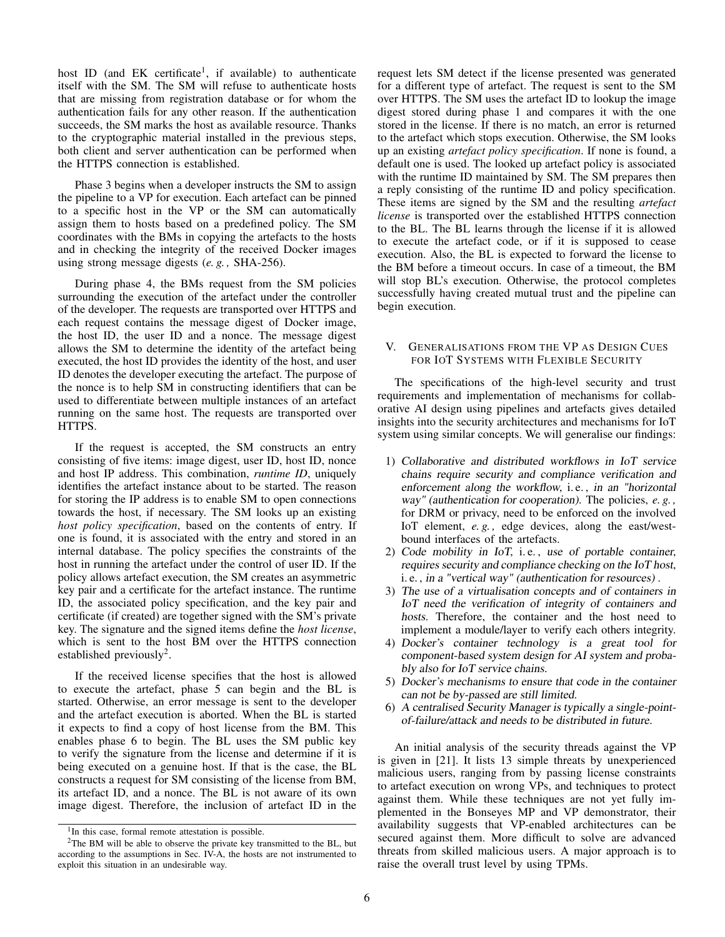host ID (and EK certificate<sup>1</sup>, if available) to authenticate itself with the SM. The SM will refuse to authenticate hosts that are missing from registration database or for whom the authentication fails for any other reason. If the authentication succeeds, the SM marks the host as available resource. Thanks to the cryptographic material installed in the previous steps, both client and server authentication can be performed when the HTTPS connection is established.

Phase 3 begins when a developer instructs the SM to assign the pipeline to a VP for execution. Each artefact can be pinned to a specific host in the VP or the SM can automatically assign them to hosts based on a predefined policy. The SM coordinates with the BMs in copying the artefacts to the hosts and in checking the integrity of the received Docker images using strong message digests (*e. g. ,* SHA-256).

During phase 4, the BMs request from the SM policies surrounding the execution of the artefact under the controller of the developer. The requests are transported over HTTPS and each request contains the message digest of Docker image, the host ID, the user ID and a nonce. The message digest allows the SM to determine the identity of the artefact being executed, the host ID provides the identity of the host, and user ID denotes the developer executing the artefact. The purpose of the nonce is to help SM in constructing identifiers that can be used to differentiate between multiple instances of an artefact running on the same host. The requests are transported over HTTPS.

If the request is accepted, the SM constructs an entry consisting of five items: image digest, user ID, host ID, nonce and host IP address. This combination, *runtime ID*, uniquely identifies the artefact instance about to be started. The reason for storing the IP address is to enable SM to open connections towards the host, if necessary. The SM looks up an existing *host policy specification*, based on the contents of entry. If one is found, it is associated with the entry and stored in an internal database. The policy specifies the constraints of the host in running the artefact under the control of user ID. If the policy allows artefact execution, the SM creates an asymmetric key pair and a certificate for the artefact instance. The runtime ID, the associated policy specification, and the key pair and certificate (if created) are together signed with the SM's private key. The signature and the signed items define the *host license*, which is sent to the host BM over the HTTPS connection established previously<sup>2</sup>.

If the received license specifies that the host is allowed to execute the artefact, phase 5 can begin and the BL is started. Otherwise, an error message is sent to the developer and the artefact execution is aborted. When the BL is started it expects to find a copy of host license from the BM. This enables phase 6 to begin. The BL uses the SM public key to verify the signature from the license and determine if it is being executed on a genuine host. If that is the case, the BL constructs a request for SM consisting of the license from BM, its artefact ID, and a nonce. The BL is not aware of its own image digest. Therefore, the inclusion of artefact ID in the

request lets SM detect if the license presented was generated for a different type of artefact. The request is sent to the SM over HTTPS. The SM uses the artefact ID to lookup the image digest stored during phase 1 and compares it with the one stored in the license. If there is no match, an error is returned to the artefact which stops execution. Otherwise, the SM looks up an existing *artefact policy specification*. If none is found, a default one is used. The looked up artefact policy is associated with the runtime ID maintained by SM. The SM prepares then a reply consisting of the runtime ID and policy specification. These items are signed by the SM and the resulting *artefact license* is transported over the established HTTPS connection to the BL. The BL learns through the license if it is allowed to execute the artefact code, or if it is supposed to cease execution. Also, the BL is expected to forward the license to the BM before a timeout occurs. In case of a timeout, the BM will stop BL's execution. Otherwise, the protocol completes successfully having created mutual trust and the pipeline can begin execution.

# V. GENERALISATIONS FROM THE VP AS DESIGN CUES FOR IOT SYSTEMS WITH FLEXIBLE SECURITY

The specifications of the high-level security and trust requirements and implementation of mechanisms for collaborative AI design using pipelines and artefacts gives detailed insights into the security architectures and mechanisms for IoT system using similar concepts. We will generalise our findings:

- 1) Collaborative and distributed workflows in IoT service chains require security and compliance verification and enforcement along the workflow, i. e. , in an "horizontal way" (authentication for cooperation). The policies, *e. g. ,* for DRM or privacy, need to be enforced on the involved IoT element, *e. g. ,* edge devices, along the east/westbound interfaces of the artefacts.
- 2) Code mobility in IoT, i. e. , use of portable container, requires security and compliance checking on the IoT host, i. e. , in a "vertical way" (authentication for resources) .
- 3) The use of a virtualisation concepts and of containers in IoT need the verification of integrity of containers and hosts. Therefore, the container and the host need to implement a module/layer to verify each others integrity.
- 4) Docker's container technology is a great tool for component-based system design for AI system and probably also for IoT service chains.
- 5) Docker's mechanisms to ensure that code in the container can not be by-passed are still limited.
- 6) A centralised Security Manager is typically a single-pointof-failure/attack and needs to be distributed in future.

An initial analysis of the security threads against the VP is given in [21]. It lists 13 simple threats by unexperienced malicious users, ranging from by passing license constraints to artefact execution on wrong VPs, and techniques to protect against them. While these techniques are not yet fully implemented in the Bonseyes MP and VP demonstrator, their availability suggests that VP-enabled architectures can be secured against them. More difficult to solve are advanced threats from skilled malicious users. A major approach is to raise the overall trust level by using TPMs.

<sup>&</sup>lt;sup>1</sup>In this case, formal remote attestation is possible.

<sup>&</sup>lt;sup>2</sup>The BM will be able to observe the private key transmitted to the BL, but according to the assumptions in Sec. IV-A, the hosts are not instrumented to exploit this situation in an undesirable way.